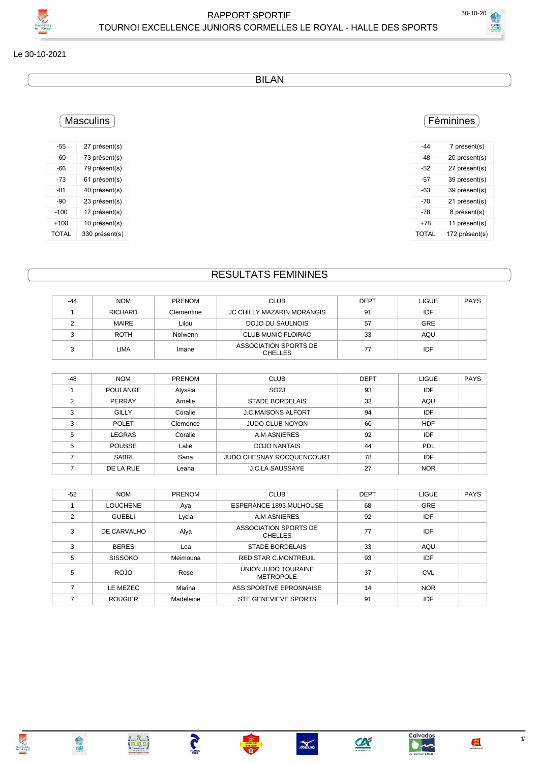



Le 30-10-2021

**BILAN** 

#### Féminines

| -44   | 7 présent(s)   |
|-------|----------------|
| -48   | 20 présent(s)  |
| -52   | 27 présent(s)  |
| -57   | 39 présent(s)  |
| -63   | 39 présent(s)  |
| $-70$ | 21 présent(s)  |
| -78   | 8 présent(s)   |
| $+78$ | 11 présent(s)  |
| TOTAL | 172 présent(s) |
|       |                |

### **RESULTATS FEMININES**

| -44 | <b>NOM</b>     | <b>PRENOM</b>  | <b>CLUB</b>                             | <b>DEPT</b> | <b>LIGUE</b> | <b>PAYS</b> |
|-----|----------------|----------------|-----------------------------------------|-------------|--------------|-------------|
|     | <b>RICHARD</b> | Clementine     | JC CHILLY MAZARIN MORANGIS              | 91          | IDF          |             |
|     | <b>MAIRE</b>   | Lilou          | DOJO DU SAULNOIS                        | 57          | <b>GRE</b>   |             |
|     | <b>ROTH</b>    | <b>Nolwenn</b> | <b>CLUB MUNIC FLOIRAC</b>               | 33          | AQU          |             |
|     | <b>LIMA</b>    | Imane          | ASSOCIATION SPORTS DE<br><b>CHELLES</b> | 77          | IDF          |             |

| $-48$ | <b>NOM</b>    | <b>PRENOM</b> | <b>CLUB</b>               | <b>DEPT</b> | <b>LIGUE</b> | <b>PAYS</b> |
|-------|---------------|---------------|---------------------------|-------------|--------------|-------------|
|       | POULANGE      | Alyssia       | SO <sub>2</sub> J         | 93          | IDF          |             |
| っ     | PERRAY        | Amelie        | <b>STADE BORDELAIS</b>    | 33          | AQU          |             |
| 3     | GILLY         | Coralie       | <b>J.C.MAISONS ALFORT</b> | 94          | IDF          |             |
| 3     | <b>POLET</b>  | Clemence      | <b>JUDO CLUB NOYON</b>    | 60          | <b>HDF</b>   |             |
| 5     | LEGRAS        | Coralie       | A.M ASNIERES              | 92          | IDF          |             |
| 5     | <b>POUSSE</b> | Lalie         | <b>DOJO NANTAIS</b>       | 44          | PDL          |             |
|       | <b>SABRI</b>  | Sana          | JUDO CHESNAY ROCQUENCOURT | 78          | IDF          |             |
|       | DE LA RUE     | Leana         | <b>J.C.LA SAUSSAYE</b>    | 27          | <b>NOR</b>   |             |

| $-52$          | <b>NOM</b>      | PRENOM    | <b>CLUB</b>                             | <b>DEPT</b> | <b>LIGUE</b> | <b>PAYS</b> |
|----------------|-----------------|-----------|-----------------------------------------|-------------|--------------|-------------|
|                | <b>LOUCHENE</b> | Aya       | ESPERANCE 1893 MULHOUSE                 | 68          | <b>GRE</b>   |             |
| $\mathfrak{p}$ | <b>GUEBLI</b>   | Lycia     | A.M ASNIERES                            | 92          | IDF          |             |
| 3              | DE CARVALHO     | Alya      | ASSOCIATION SPORTS DE<br><b>CHELLES</b> | 77          | IDF          |             |
| 3              | <b>BERES</b>    | Lea       | STADE BORDELAIS                         | 33          | AQU          |             |
| 5              | <b>SISSOKO</b>  | Meimouna  | <b>RED STAR C.MONTREUIL</b>             | 93          | IDF          |             |
| 5              | ROJO            | Rose      | UNION JUDO TOURAINE<br><b>METROPOLE</b> | 37          | <b>CVL</b>   |             |
|                | LE MEZEC        | Marina    | ASS SPORTIVE EPRONNAISE                 | 14          | <b>NOR</b>   |             |
|                | <b>ROUGIER</b>  | Madeleine | STE GENEVIEVE SPORTS                    | 91          | IDF          |             |

**TANGE** 

 $\left\{ \begin{matrix} R_{\text{max}} \\ \text{max} \\ \text{max} \\ \text{max} \\ \text{max} \\ \text{max} \end{matrix} \right\}$ 

### **Masculins**

| -55          | 27 présent(s)  |
|--------------|----------------|
| $-60$        | 73 présent(s)  |
| -66          | 79 présent(s)  |
| -73          | 61 présent(s)  |
| $-81$        | 40 présent(s)  |
| $-90$        | 23 présent(s)  |
| $-100$       | 17 présent(s)  |
| $+100$       | 10 présent(s)  |
| <b>TOTAL</b> | 330 présent(s) |
|              |                |



**ANS** 

Calvados

 $\bullet$ 

 $\sum_{\text{NORMANDE}}$ 

 $\gamma$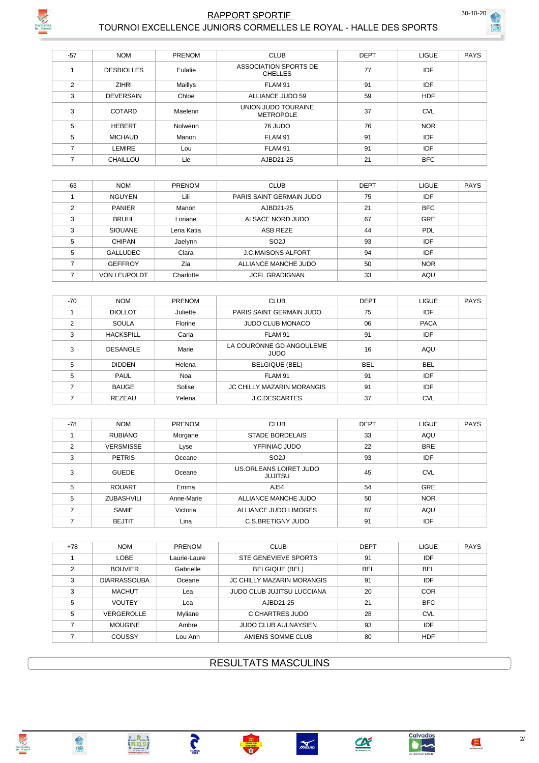

## **RAPPORT SPORTIF**



PAYS

|       | TOURNOI EXCELLENCE JUNIORS CORMELLES LE ROYAL - HALLE DES SPORTS |         |                                         |             |              |  |  |  |  |
|-------|------------------------------------------------------------------|---------|-----------------------------------------|-------------|--------------|--|--|--|--|
|       |                                                                  |         |                                         |             |              |  |  |  |  |
| $-57$ | <b>NOM</b>                                                       | PRENOM  | <b>CLUB</b>                             | <b>DEPT</b> | <b>LIGUE</b> |  |  |  |  |
|       | <b>DESBIOLLES</b>                                                | Eulalie | ASSOCIATION SPORTS DE<br><b>CHELLES</b> | 77          | IDF          |  |  |  |  |
| 2     | <b>ZIHRI</b>                                                     | Maillys | FLAM 91                                 | 91          | IDF          |  |  |  |  |
| 3     | <b>DEVERSAIN</b>                                                 | Chloe   | ALLIANCE JUDO 59                        | 59          | <b>HDF</b>   |  |  |  |  |
| 3     | <b>COTARD</b>                                                    | Maelenn | UNION JUDO TOURAINE<br><b>METROPOLE</b> | 37          | <b>CVL</b>   |  |  |  |  |
| 5     | <b>HEBERT</b>                                                    | Nolwenn | 76 JUDO                                 | 76          | <b>NOR</b>   |  |  |  |  |
| 5     | <b>MICHAUD</b>                                                   | Manon   | FLAM 91                                 | 91          | <b>IDF</b>   |  |  |  |  |
| 7     | <b>LEMIRE</b>                                                    | Lou     | FLAM 91                                 | 91          | IDF          |  |  |  |  |
| 7     | <b>CHAILLOU</b>                                                  | Lie     | AJBD21-25                               | 21          | <b>BFC</b>   |  |  |  |  |

| $-63$ | <b>NOM</b>          | <b>PRENOM</b> | <b>CLUB</b>               | <b>DEPT</b> | <b>LIGUE</b> | <b>PAYS</b> |
|-------|---------------------|---------------|---------------------------|-------------|--------------|-------------|
|       | <b>NGUYEN</b>       | Lili          | PARIS SAINT GERMAIN JUDO  | 75          | IDF          |             |
| ◠     | <b>PANIER</b>       | Manon         | AJBD21-25                 | 21          | <b>BFC</b>   |             |
| 3     | <b>BRUHL</b>        | Loriane       | ALSACE NORD JUDO          | 67          | GRE          |             |
| 3     | <b>SIOUANE</b>      | Lena Katia    | ASB REZE                  | 44          | PDL          |             |
| 5     | <b>CHIPAN</b>       | Jaelynn       | SO <sub>2</sub> J         | 93          | IDF          |             |
| 5     | <b>GALLUDEC</b>     | Clara         | <b>J.C.MAISONS ALFORT</b> | 94          | IDF          |             |
|       | <b>GEFFROY</b>      | Zia           | ALLIANCE MANCHE JUDO      | 50          | <b>NOR</b>   |             |
|       | <b>VON LEUPOLDT</b> | Charlotte     | <b>JCFL GRADIGNAN</b>     | 33          | AQU          |             |

| $-70$         | <b>NOM</b>       | PRENOM   | <b>CLUB</b>                             | <b>DEPT</b> | <b>LIGUE</b> | <b>PAYS</b> |
|---------------|------------------|----------|-----------------------------------------|-------------|--------------|-------------|
|               | <b>DIOLLOT</b>   | Juliette | PARIS SAINT GERMAIN JUDO                | 75          | IDF          |             |
| $\mathcal{P}$ | SOULA            | Florine  | <b>JUDO CLUB MONACO</b>                 | 06          | <b>PACA</b>  |             |
| 3             | <b>HACKSPILL</b> | Carla    | FLAM 91                                 | 91          | IDF          |             |
| 3             | <b>DESANGLE</b>  | Marie    | LA COURONNE GD ANGOULEME<br><b>JUDO</b> | 16          | AQU          |             |
| 5             | <b>DIDDEN</b>    | Helena   | <b>BELGIQUE (BEL)</b>                   | <b>BEL</b>  | <b>BEL</b>   |             |
| 5             | <b>PAUL</b>      | Noa      | FLAM 91                                 | 91          | IDF          |             |
|               | <b>BAUGE</b>     | Solise   | <b>JC CHILLY MAZARIN MORANGIS</b>       | 91          | IDF          |             |
|               | <b>REZEAU</b>    | Yelena   | <b>J.C.DESCARTES</b>                    | 37          | <b>CVL</b>   |             |

| -78           | <b>NOM</b>        | <b>PRENOM</b> | <b>CLUB</b>                              | <b>DEPT</b> | <b>LIGUE</b> | PAYS |
|---------------|-------------------|---------------|------------------------------------------|-------------|--------------|------|
|               | <b>RUBIANO</b>    | Morgane       | <b>STADE BORDELAIS</b>                   | 33          | <b>AQU</b>   |      |
| $\mathcal{P}$ | <b>VERSMISSE</b>  | Lyse          | YFFINIAC JUDO                            | 22          | <b>BRE</b>   |      |
| 3             | <b>PETRIS</b>     | Oceane        | SO <sub>2</sub> J                        | 93          | IDF          |      |
| 3             | <b>GUEDE</b>      | Oceane        | US.ORLEANS LOIRET JUDO<br><b>JUJITSU</b> | 45          | <b>CVL</b>   |      |
| 5             | <b>ROUART</b>     | Emma          | AJ54                                     | 54          | GRE          |      |
| 5             | <b>ZUBASHVILI</b> | Anne-Marie    | ALLIANCE MANCHE JUDO                     | 50          | <b>NOR</b>   |      |
|               | <b>SAMIE</b>      | Victoria      | ALLIANCE JUDO LIMOGES                    | 87          | <b>AQU</b>   |      |
|               | <b>BEJTIT</b>     | l ina         | C.S. BRETIGNY JUDO                       | 91          | IDF          |      |

| $+78$ | <b>NOM</b>          | <b>PRENOM</b> | <b>CLUB</b>                       | <b>DEPT</b> | <b>LIGUE</b> | <b>PAYS</b> |
|-------|---------------------|---------------|-----------------------------------|-------------|--------------|-------------|
|       | LOBE                | Laurie-Laure  | STE GENEVIEVE SPORTS              | 91          | <b>IDF</b>   |             |
| 2     | <b>BOUVIER</b>      | Gabrielle     | <b>BELGIQUE (BEL)</b>             | <b>BEL</b>  | <b>BEL</b>   |             |
| 3     | <b>DIARRASSOUBA</b> | Oceane        | <b>JC CHILLY MAZARIN MORANGIS</b> | 91          | <b>IDF</b>   |             |
| 3     | <b>MACHUT</b>       | Lea           | <b>JUDO CLUB JUJITSU LUCCIANA</b> | 20          | <b>COR</b>   |             |
| 5     | <b>VOUTEY</b>       | Lea           | AJBD21-25                         | 21          | <b>BFC</b>   |             |
| 5     | VERGEROLLE          | Myliane       | C CHARTRES JUDO                   | 28          | <b>CVL</b>   |             |
|       | <b>MOUGINE</b>      | Ambre         | <b>JUDO CLUB AULNAYSIEN</b>       | 93          | <b>IDF</b>   |             |
|       | COUSSY              | Lou Ann       | AMIENS SOMME CLUB                 | 80          | <b>HDF</b>   |             |

**RESULTATS MASCULINS** 

 $\sum_{\text{Zarson}}$ 

Thus

自动

**TANCE** 

| $+78$ | <b>NOM</b>          | <b>PRENOM</b> | <b>CLUB</b>                       | <b>DEPT</b> | <b>LIGUE</b> | <b>PAYS</b> |
|-------|---------------------|---------------|-----------------------------------|-------------|--------------|-------------|
|       | LOBE                | Laurie-Laure  | STE GENEVIEVE SPORTS              | 91          | <b>IDF</b>   |             |
| 2     | <b>BOUVIER</b>      | Gabrielle     | <b>BELGIQUE (BEL)</b>             | <b>BEL</b>  | <b>BEL</b>   |             |
| 3     | <b>DIARRASSOUBA</b> | Oceane        | <b>JC CHILLY MAZARIN MORANGIS</b> | 91          | <b>IDF</b>   |             |
| 3     | <b>MACHUT</b>       | Lea           | <b>JUDO CLUB JUJITSU LUCCIANA</b> | 20          | <b>COR</b>   |             |
| 5     | <b>VOUTEY</b>       | Lea           | AJBD21-25                         | 21          | <b>BFC</b>   |             |
| 5     | <b>VERGEROLLE</b>   | Myliane       | C CHARTRES JUDO                   | 28          | <b>CVL</b>   |             |
|       | <b>MOUGINE</b>      | Ambre         | <b>JUDO CLUB AULNAYSIEN</b>       | 93          | <b>IDF</b>   |             |
|       | 001001              | .             | AMIENIO OOM MAE OLLID             | $\sim$      | 155          |             |

NORMANDIE

 $\frac{2}{3}$ 

 $\frac{a}{\sqrt{a}}$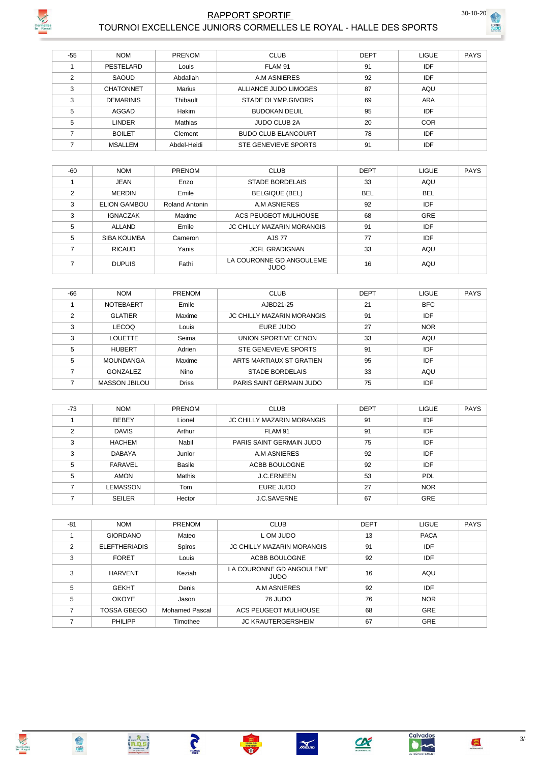

# RAPPORT SPORTIF 30-10-2021



|       | TOURNOI EXCELLENCE JUNIORS CORMELLES LE ROYAL - HALLE DES SPORTS |               |                             |             |              |             |  |
|-------|------------------------------------------------------------------|---------------|-----------------------------|-------------|--------------|-------------|--|
|       |                                                                  |               |                             |             |              |             |  |
| $-55$ | <b>NOM</b>                                                       | <b>PRENOM</b> | <b>CLUB</b>                 | <b>DEPT</b> | <b>LIGUE</b> | <b>PAYS</b> |  |
|       | PESTELARD                                                        | Louis         | FLAM 91                     | 91          | IDF          |             |  |
| 2     | SAOUD                                                            | Abdallah      | A.M ASNIERES                | 92          | IDF          |             |  |
| 3     | <b>CHATONNET</b>                                                 | Marius        | ALLIANCE JUDO LIMOGES       | 87          | AQU          |             |  |
| 3     | <b>DEMARINIS</b>                                                 | Thibault      | STADE OLYMP.GIVORS          | 69          | <b>ARA</b>   |             |  |
| 5     | AGGAD                                                            | <b>Hakim</b>  | <b>BUDOKAN DEUIL</b>        | 95          | IDF          |             |  |
| 5     | <b>LINDER</b>                                                    | Mathias       | <b>JUDO CLUB 2A</b>         | 20          | <b>COR</b>   |             |  |
| 7     | <b>BOILET</b>                                                    | Clement       | <b>BUDO CLUB ELANCOURT</b>  | 78          | IDF          |             |  |
|       | <b>MSALLEM</b>                                                   | Abdel-Heidi   | <b>STE GENEVIEVE SPORTS</b> | 91          | IDF          |             |  |

| $-60$          | <b>NOM</b>          | <b>PRENOM</b>  | <b>CLUB</b>                             | <b>DEPT</b> | <b>LIGUE</b> | <b>PAYS</b> |
|----------------|---------------------|----------------|-----------------------------------------|-------------|--------------|-------------|
|                | <b>JEAN</b>         | Enzo           | <b>STADE BORDELAIS</b>                  | 33          | AQU          |             |
| $\overline{2}$ | <b>MERDIN</b>       | Emile          | <b>BELGIQUE (BEL)</b>                   | <b>BEL</b>  | <b>BEL</b>   |             |
| 3              | <b>ELION GAMBOU</b> | Roland Antonin | A.M ASNIERES                            | 92          | IDF          |             |
| 3              | <b>IGNACZAK</b>     | Maxime         | ACS PEUGEOT MULHOUSE                    | 68          | <b>GRE</b>   |             |
| 5              | ALLAND              | Emile          | <b>JC CHILLY MAZARIN MORANGIS</b>       | 91          | IDF          |             |
| 5              | SIBA KOUMBA         | Cameron        | <b>AJS 77</b>                           | 77          | <b>IDF</b>   |             |
| 7              | <b>RICAUD</b>       | Yanis          | <b>JCFL GRADIGNAN</b>                   | 33          | <b>AQU</b>   |             |
|                | <b>DUPUIS</b>       | Fathi          | LA COURONNE GD ANGOULEME<br><b>JUDO</b> | 16          | AQU          |             |

| $-66$          | <b>NOM</b>       | <b>PRENOM</b> | <b>CLUB</b>                       | <b>DEPT</b> | <b>LIGUE</b> | <b>PAYS</b> |
|----------------|------------------|---------------|-----------------------------------|-------------|--------------|-------------|
|                | NOTEBAERT        | Emile         | AJBD21-25                         | 21          | <b>BFC</b>   |             |
| $\mathfrak{p}$ | <b>GLATIER</b>   | Maxime        | <b>JC CHILLY MAZARIN MORANGIS</b> | 91          | IDF          |             |
| 3              | <b>LECOQ</b>     | Louis         | EURE JUDO                         | 27          | <b>NOR</b>   |             |
| 3              | <b>LOUETTE</b>   | Seima         | UNION SPORTIVE CENON              | 33          | AQU          |             |
| 5              | <b>HUBERT</b>    | Adrien        | STE GENEVIEVE SPORTS              | 91          | IDF          |             |
| 5              | <b>MOUNDANGA</b> | Maxime        | ARTS MARTIAUX ST GRATIEN          | 95          | IDF          |             |
|                | GONZALEZ         | Nino          | <b>STADE BORDELAIS</b>            | 33          | AQU          |             |
|                | MASSON JBILOU    | <b>Driss</b>  | PARIS SAINT GERMAIN JUDO          | 75          | IDF          |             |

| $-73$ | <b>NOM</b>     | <b>PRENOM</b> | <b>CLUB</b>                       | <b>DEPT</b> | <b>LIGUE</b> | <b>PAYS</b> |
|-------|----------------|---------------|-----------------------------------|-------------|--------------|-------------|
|       | <b>BEBEY</b>   | Lionel        | <b>JC CHILLY MAZARIN MORANGIS</b> | 91          | <b>IDF</b>   |             |
| C     | <b>DAVIS</b>   | Arthur        | FLAM 91                           | 91          | IDF          |             |
| 3     | <b>HACHEM</b>  | Nabil         | PARIS SAINT GERMAIN JUDO          | 75          | IDF          |             |
| 3     | <b>DABAYA</b>  | Junior        | A.M ASNIERES                      | 92          | IDF          |             |
| 5     | <b>FARAVEL</b> | <b>Basile</b> | ACBB BOULOGNE                     | 92          | IDF          |             |
| 5     | <b>AMON</b>    | Mathis        | <b>J.C.ERNEEN</b>                 | 53          | PDL          |             |
|       | LEMASSON       | Tom           | EURE JUDO                         | 27          | <b>NOR</b>   |             |
|       | <b>SEILER</b>  | Hector        | J.C.SAVERNE                       | 67          | <b>GRE</b>   |             |

| $-81$ | <b>NOM</b>           | PRENOM         | <b>CLUB</b>                             | <b>DEPT</b> | <b>LIGUE</b> | <b>PAYS</b> |
|-------|----------------------|----------------|-----------------------------------------|-------------|--------------|-------------|
|       | <b>GIORDANO</b>      | Mateo          | L OM JUDO                               | 13          | <b>PACA</b>  |             |
| 2     | <b>ELEFTHERIADIS</b> | Spiros         | <b>JC CHILLY MAZARIN MORANGIS</b>       | 91          | IDF          |             |
| 3     | <b>FORET</b>         | Louis          | ACBB BOULOGNE                           | 92          | IDF          |             |
|       | <b>HARVENT</b>       | Keziah         | LA COURONNE GD ANGOULEME<br><b>JUDO</b> | 16          | AQU          |             |
| 5     | <b>GEKHT</b>         | Denis          | A.M ASNIERES                            | 92          | <b>IDF</b>   |             |
| 5     | <b>OKOYE</b>         | Jason          | 76 JUDO                                 | 76          | <b>NOR</b>   |             |
|       | <b>TOSSA GBEGO</b>   | Mohamed Pascal | <b>ACS PEUGEOT MULHOUSE</b>             | 68          | <b>GRE</b>   |             |
|       | PHILIPP              | Timothee       | <b>JC KRAUTERGERSHEIM</b>               | 67          | <b>GRE</b>   |             |

 $\frac{1}{\sqrt{100}}$ 

**FRANCE** 

Cormelles<br>le Royal



**ANS** 

**Calvados**